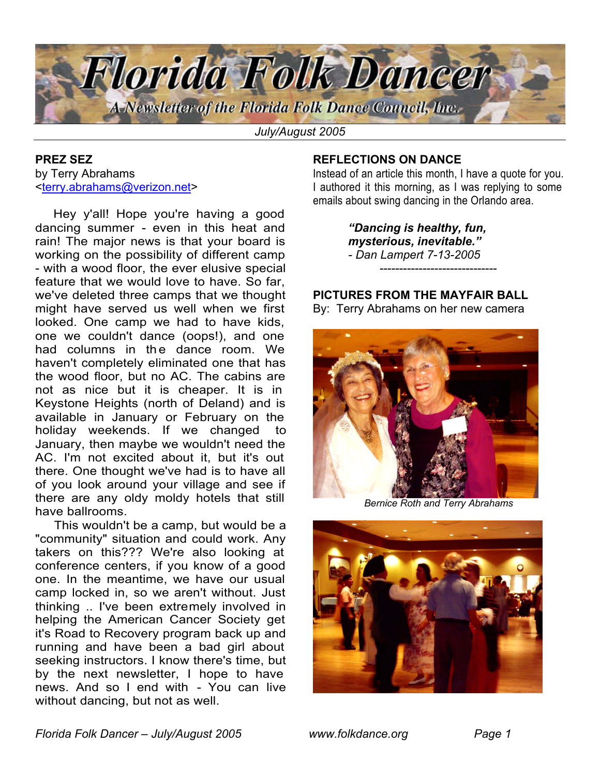

*July/August 2005*

#### **PREZ SEZ** by Terry Abrahams <terry.abrahams@verizon.net>

 Hey y'all! Hope you're having a good dancing summer - even in this heat and rain! The major news is that your board is working on the possibility of different camp - with a wood floor, the ever elusive special feature that we would love to have. So far, we've deleted three camps that we thought might have served us well when we first looked. One camp we had to have kids, one we couldn't dance (oops!), and one had columns in the dance room. We haven't completely eliminated one that has the wood floor, but no AC. The cabins are not as nice but it is cheaper. It is in Keystone Heights (north of Deland) and is available in January or February on the holiday weekends. If we changed to January, then maybe we wouldn't need the AC. I'm not excited about it, but it's out there. One thought we've had is to have all of you look around your village and see if there are any oldy moldy hotels that still have ballrooms.

 This wouldn't be a camp, but would be a "community" situation and could work. Any takers on this??? We're also looking at conference centers, if you know of a good one. In the meantime, we have our usual camp locked in, so we aren't without. Just thinking .. I've been extremely involved in helping the American Cancer Society get it's Road to Recovery program back up and running and have been a bad girl about seeking instructors. I know there's time, but by the next newsletter, I hope to have news. And so I end with - You can live without dancing, but not as well.

## **REFLECTIONS ON DANCE**

Instead of an article this month, I have a quote for you. I authored it this morning, as I was replying to some emails about swing dancing in the Orlando area.

> *"Dancing is healthy, fun, mysterious, inevitable." - Dan Lampert 7-13-2005* ------------------------------

**PICTURES FROM THE MAYFAIR BALL** By: Terry Abrahams on her new camera



*Bernice Roth and Terry Abrahams*

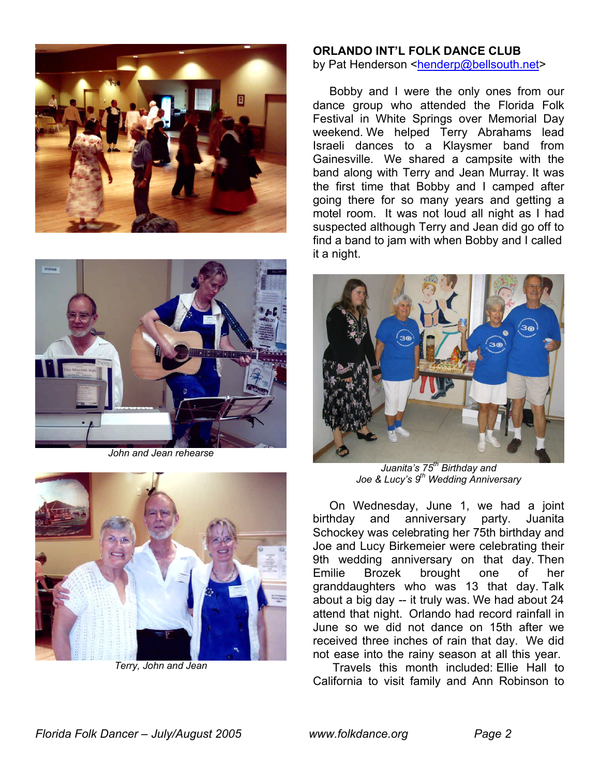



*John and Jean rehearse*



*Terry, John and Jean*

#### **ORLANDO INT'L FOLK DANCE CLUB** by Pat Henderson <henderp@bellsouth.net>

 Bobby and I were the only ones from our dance group who attended the Florida Folk Festival in White Springs over Memorial Day weekend. We helped Terry Abrahams lead Israeli dances to a Klaysmer band from Gainesville. We shared a campsite with the band along with Terry and Jean Murray. It was the first time that Bobby and I camped after going there for so many years and getting a motel room. It was not loud all night as I had suspected although Terry and Jean did go off to find a band to jam with when Bobby and I called it a night.



*Juanita's 75th Birthday and Joe & Lucy's 9th Wedding Anniversary*

 On Wednesday, June 1, we had a joint birthday and anniversary party. Juanita Schockey was celebrating her 75th birthday and Joe and Lucy Birkemeier were celebrating their 9th wedding anniversary on that day. Then Emilie Brozek brought one of her granddaughters who was 13 that day. Talk about a big day -- it truly was. We had about 24 attend that night. Orlando had record rainfall in June so we did not dance on 15th after we received three inches of rain that day. We did not ease into the rainy season at all this year.

 Travels this month included: Ellie Hall to California to visit family and Ann Robinson to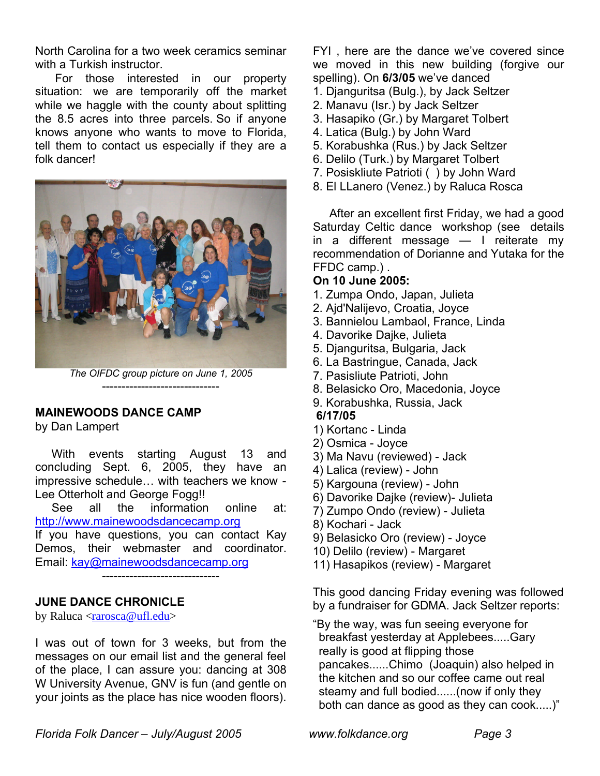North Carolina for a two week ceramics seminar with a Turkish instructor.

 For those interested in our property situation: we are temporarily off the market while we haggle with the county about splitting the 8.5 acres into three parcels. So if anyone knows anyone who wants to move to Florida, tell them to contact us especially if they are a folk dancer!



*The OIFDC group picture on June 1, 2005* ------------------------------

#### **MAINEWOODS DANCE CAMP**

by Dan Lampert

 With events starting August 13 and concluding Sept. 6, 2005, they have an impressive schedule… with teachers we know - Lee Otterholt and George Fogg!!

 See all the information online at: http://www.mainewoodsdancecamp.org

If you have questions, you can contact Kay Demos, their webmaster and coordinator. Email: kay@mainewoodsdancecamp.org

------------------------------

### **JUNE DANCE CHRONICLE**

by Raluca <**rarosca@ufl.edu**>

I was out of town for 3 weeks, but from the messages on our email list and the general feel of the place, I can assure you: dancing at 308 W University Avenue, GNV is fun (and gentle on your joints as the place has nice wooden floors).

FYI , here are the dance we've covered since we moved in this new building (forgive our spelling). On **6/3/05** we've danced

- 1. Djanguritsa (Bulg.), by Jack Seltzer
- 2. Manavu (Isr.) by Jack Seltzer
- 3. Hasapiko (Gr.) by Margaret Tolbert
- 4. Latica (Bulg.) by John Ward
- 5. Korabushka (Rus.) by Jack Seltzer
- 6. Delilo (Turk.) by Margaret Tolbert
- 7. Posiskliute Patrioti ( ) by John Ward
- 8. El LLanero (Venez.) by Raluca Rosca

 After an excellent first Friday, we had a good Saturday Celtic dance workshop (see details in a different message — I reiterate my recommendation of Dorianne and Yutaka for the FFDC camp.) .

### **On 10 June 2005:**

- 1. Zumpa Ondo, Japan, Julieta
- 2. Ajd'Nalijevo, Croatia, Joyce
- 3. Bannielou Lambaol, France, Linda
- 4. Davorike Dajke, Julieta
- 5. Djanguritsa, Bulgaria, Jack
- 6. La Bastringue, Canada, Jack
- 7. Pasisliute Patrioti, John
- 8. Belasicko Oro, Macedonia, Joyce
- 9. Korabushka, Russia, Jack

# **6/17/05**

- 1) Kortanc Linda
- 2) Osmica Joyce
- 3) Ma Navu (reviewed) Jack
- 4) Lalica (review) John
- 5) Kargouna (review) John
- 6) Davorike Dajke (review)- Julieta
- 7) Zumpo Ondo (review) Julieta
- 8) Kochari Jack
- 9) Belasicko Oro (review) Joyce
- 10) Delilo (review) Margaret
- 11) Hasapikos (review) Margaret

This good dancing Friday evening was followed by a fundraiser for GDMA. Jack Seltzer reports:

"By the way, was fun seeing everyone for breakfast yesterday at Applebees.....Gary really is good at flipping those pancakes......Chimo (Joaquin) also helped in the kitchen and so our coffee came out real steamy and full bodied......(now if only they both can dance as good as they can cook.....)"

*Florida Folk Dancer – July/August 2005 www.folkdance.org Page 3*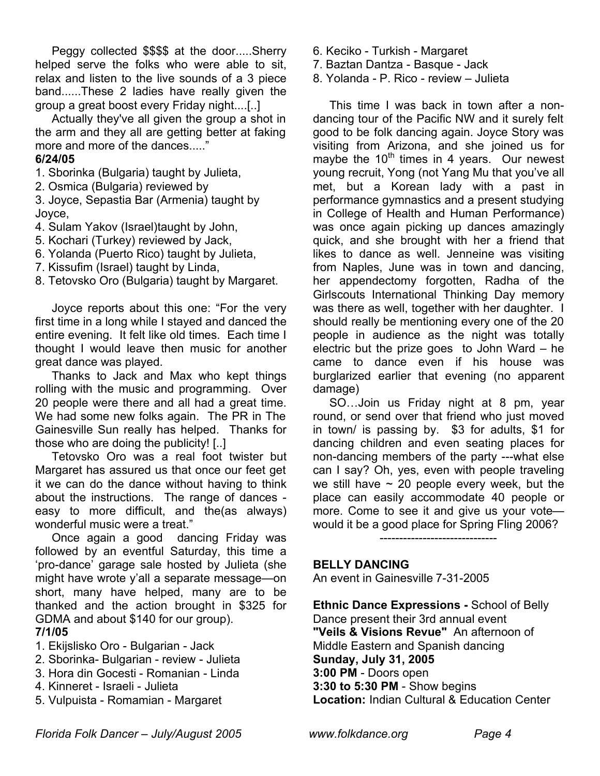Peggy collected \$\$\$\$ at the door.....Sherry helped serve the folks who were able to sit, relax and listen to the live sounds of a 3 piece band......These 2 ladies have really given the group a great boost every Friday night....[..]

 Actually they've all given the group a shot in the arm and they all are getting better at faking more and more of the dances....."

### **6/24/05**

- 1. Sborinka (Bulgaria) taught by Julieta,
- 2. Osmica (Bulgaria) reviewed by

3. Joyce, Sepastia Bar (Armenia) taught by Joyce,

- 4. Sulam Yakov (Israel)taught by John,
- 5. Kochari (Turkey) reviewed by Jack,
- 6. Yolanda (Puerto Rico) taught by Julieta,
- 7. Kissufim (Israel) taught by Linda,
- 8. Tetovsko Oro (Bulgaria) taught by Margaret.

 Joyce reports about this one: "For the very first time in a long while I stayed and danced the entire evening. It felt like old times. Each time I thought I would leave then music for another great dance was played.

 Thanks to Jack and Max who kept things rolling with the music and programming. Over 20 people were there and all had a great time. We had some new folks again. The PR in The Gainesville Sun really has helped. Thanks for those who are doing the publicity! [..]

 Tetovsko Oro was a real foot twister but Margaret has assured us that once our feet get it we can do the dance without having to think about the instructions. The range of dances easy to more difficult, and the(as always) wonderful music were a treat."

 Once again a good dancing Friday was followed by an eventful Saturday, this time a 'pro-dance' garage sale hosted by Julieta (she might have wrote y'all a separate message—on short, many have helped, many are to be thanked and the action brought in \$325 for GDMA and about \$140 for our group). **7/1/05**

- 1. Ekijslisko Oro Bulgarian Jack
- 2. Sborinka- Bulgarian review Julieta
- 3. Hora din Gocesti Romanian Linda
- 4. Kinneret Israeli Julieta
- 5. Vulpuista Romamian Margaret
- 6. Keciko Turkish Margaret
- 7. Baztan Dantza Basque Jack
- 8. Yolanda P. Rico review Julieta

 This time I was back in town after a nondancing tour of the Pacific NW and it surely felt good to be folk dancing again. Joyce Story was visiting from Arizona, and she joined us for maybe the 10<sup>th</sup> times in 4 years. Our newest young recruit, Yong (not Yang Mu that you've all met, but a Korean lady with a past in performance gymnastics and a present studying in College of Health and Human Performance) was once again picking up dances amazingly quick, and she brought with her a friend that likes to dance as well. Jenneine was visiting from Naples, June was in town and dancing, her appendectomy forgotten, Radha of the Girlscouts International Thinking Day memory was there as well, together with her daughter. I should really be mentioning every one of the 20 people in audience as the night was totally electric but the prize goes to John Ward – he came to dance even if his house was burglarized earlier that evening (no apparent damage)

 SO…Join us Friday night at 8 pm, year round, or send over that friend who just moved in town/ is passing by. \$3 for adults, \$1 for dancing children and even seating places for non-dancing members of the party ---what else can I say? Oh, yes, even with people traveling we still have  $\sim$  20 people every week, but the place can easily accommodate 40 people or more. Come to see it and give us your vote would it be a good place for Spring Fling 2006?

------------------------------

### **BELLY DANCING**

An event in Gainesville 7-31-2005

**Ethnic Dance Expressions -** School of Belly Dance present their 3rd annual event **"Veils & Visions Revue"** An afternoon of Middle Eastern and Spanish dancing **Sunday, July 31, 2005 3:00 PM** - Doors open **3:30 to 5:30 PM** - Show begins **Location:** Indian Cultural & Education Center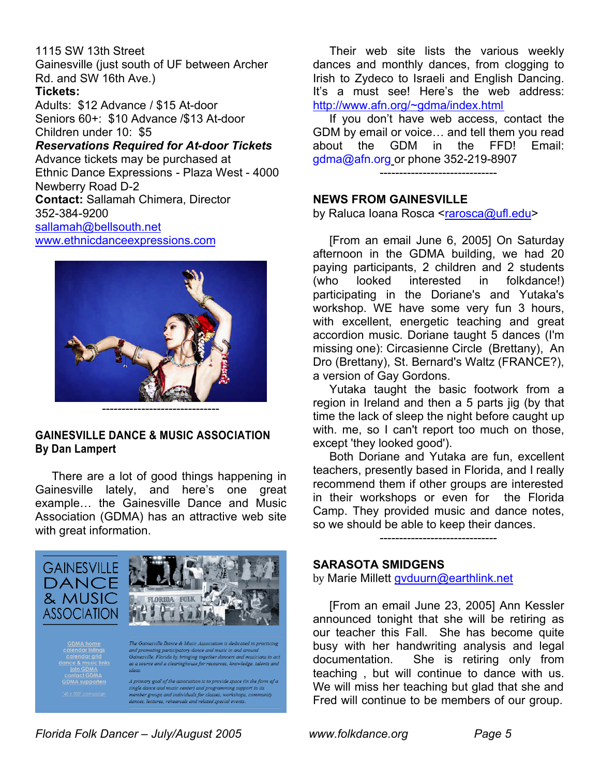1115 SW 13th Street Gainesville (just south of UF between Archer Rd. and SW 16th Ave.) **Tickets:** Adults: \$12 Advance / \$15 At-door Seniors 60+: \$10 Advance /\$13 At-door Children under 10: \$5

*Reservations Required for At-door Tickets* Advance tickets may be purchased at Ethnic Dance Expressions - Plaza West - 4000 Newberry Road D-2 **Contact:** Sallamah Chimera, Director 352-384-9200 sallamah@bellsouth.net www.ethnicdanceexpressions.com



------------------------------

# **GAINESVILLE DANCE & MUSIC ASSOCIATION By Dan Lampert**

 There are a lot of good things happening in Gainesville lately, and here's one great example… the Gainesville Dance and Music Association (GDMA) has an attractive web site with great information.



 Their web site lists the various weekly dances and monthly dances, from clogging to Irish to Zydeco to Israeli and English Dancing. It's a must see! Here's the web address: http://www.afn.org/~gdma/index.html

 If you don't have web access, contact the GDM by email or voice… and tell them you read about the GDM in the FFD! Email: gdma@afn.org or phone 352-219-8907

------------------------------

# **NEWS FROM GAINESVILLE**

by Raluca Ioana Rosca <rarosca@ufl.edu>

 [From an email June 6, 2005] On Saturday afternoon in the GDMA building, we had 20 paying participants, 2 children and 2 students (who looked interested in folkdance!) participating in the Doriane's and Yutaka's workshop. WE have some very fun 3 hours, with excellent, energetic teaching and great accordion music. Doriane taught 5 dances (I'm missing one): Circasienne Circle (Brettany), An Dro (Brettany), St. Bernard's Waltz (FRANCE?), a version of Gay Gordons.

 Yutaka taught the basic footwork from a region in Ireland and then a 5 parts jig (by that time the lack of sleep the night before caught up with. me, so I can't report too much on those, except 'they looked good').

 Both Doriane and Yutaka are fun, excellent teachers, presently based in Florida, and I really recommend them if other groups are interested in their workshops or even for the Florida Camp. They provided music and dance notes, so we should be able to keep their dances.

------------------------------

#### **SARASOTA SMIDGENS**

by Marie Millett gvduurn@earthlink.net

 [From an email June 23, 2005] Ann Kessler announced tonight that she will be retiring as our teacher this Fall. She has become quite busy with her handwriting analysis and legal documentation. She is retiring only from teaching , but will continue to dance with us. We will miss her teaching but glad that she and Fred will continue to be members of our group.

*Florida Folk Dancer – July/August 2005 www.folkdance.org Page 5*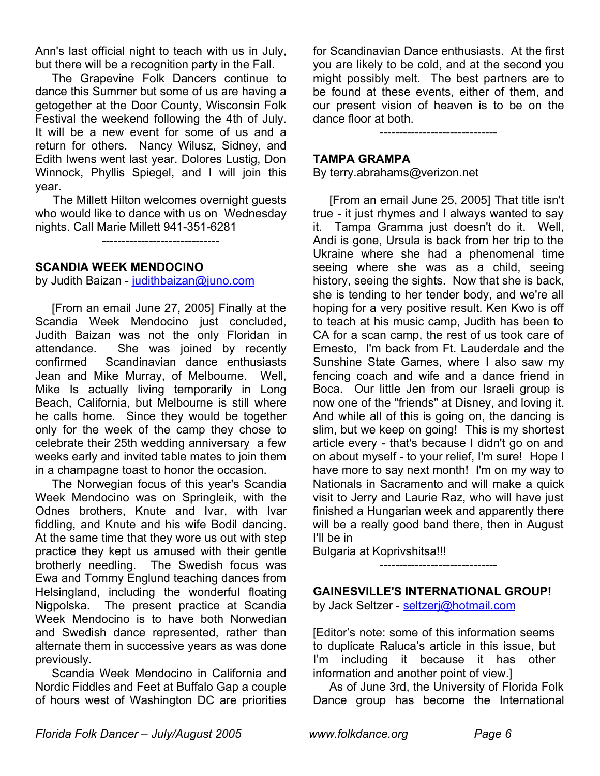Ann's last official night to teach with us in July, but there will be a recognition party in the Fall.

 The Grapevine Folk Dancers continue to dance this Summer but some of us are having a getogether at the Door County, Wisconsin Folk Festival the weekend following the 4th of July. It will be a new event for some of us and a return for others. Nancy Wilusz, Sidney, and Edith Iwens went last year. Dolores Lustig, Don Winnock, Phyllis Spiegel, and I will join this year.

 The Millett Hilton welcomes overnight guests who would like to dance with us on Wednesday nights. Call Marie Millett 941-351-6281

------------------------------

### **SCANDIA WEEK MENDOCINO**

by Judith Baizan - judithbaizan@juno.com

 [From an email June 27, 2005] Finally at the Scandia Week Mendocino just concluded, Judith Baizan was not the only Floridan in attendance. She was joined by recently confirmed Scandinavian dance enthusiasts Jean and Mike Murray, of Melbourne. Well, Mike Is actually living temporarily in Long Beach, California, but Melbourne is still where he calls home. Since they would be together only for the week of the camp they chose to celebrate their 25th wedding anniversary a few weeks early and invited table mates to join them in a champagne toast to honor the occasion.

 The Norwegian focus of this year's Scandia Week Mendocino was on Springleik, with the Odnes brothers, Knute and Ivar, with Ivar fiddling, and Knute and his wife Bodil dancing. At the same time that they wore us out with step practice they kept us amused with their gentle brotherly needling. The Swedish focus was Ewa and Tommy Englund teaching dances from Helsingland, including the wonderful floating Nigpolska. The present practice at Scandia Week Mendocino is to have both Norwedian and Swedish dance represented, rather than alternate them in successive years as was done previously.

 Scandia Week Mendocino in California and Nordic Fiddles and Feet at Buffalo Gap a couple of hours west of Washington DC are priorities for Scandinavian Dance enthusiasts. At the first you are likely to be cold, and at the second you might possibly melt. The best partners are to be found at these events, either of them, and our present vision of heaven is to be on the dance floor at both.

------------------------------

### **TAMPA GRAMPA**

By terry.abrahams@verizon.net

 [From an email June 25, 2005] That title isn't true - it just rhymes and I always wanted to say it. Tampa Gramma just doesn't do it. Well, Andi is gone, Ursula is back from her trip to the Ukraine where she had a phenomenal time seeing where she was as a child, seeing history, seeing the sights. Now that she is back, she is tending to her tender body, and we're all hoping for a very positive result. Ken Kwo is off to teach at his music camp, Judith has been to CA for a scan camp, the rest of us took care of Ernesto, I'm back from Ft. Lauderdale and the Sunshine State Games, where I also saw my fencing coach and wife and a dance friend in Boca. Our little Jen from our Israeli group is now one of the "friends" at Disney, and loving it. And while all of this is going on, the dancing is slim, but we keep on going! This is my shortest article every - that's because I didn't go on and on about myself - to your relief, I'm sure! Hope I have more to say next month! I'm on my way to Nationals in Sacramento and will make a quick visit to Jerry and Laurie Raz, who will have just finished a Hungarian week and apparently there will be a really good band there, then in August I'll be in

Bulgaria at Koprivshitsa!!!

### **GAINESVILLE'S INTERNATIONAL GROUP!**

------------------------------

by Jack Seltzer - seltzerj@hotmail.com

[Editor's note: some of this information seems to duplicate Raluca's article in this issue, but I'm including it because it has other information and another point of view.]

 As of June 3rd, the University of Florida Folk Dance group has become the International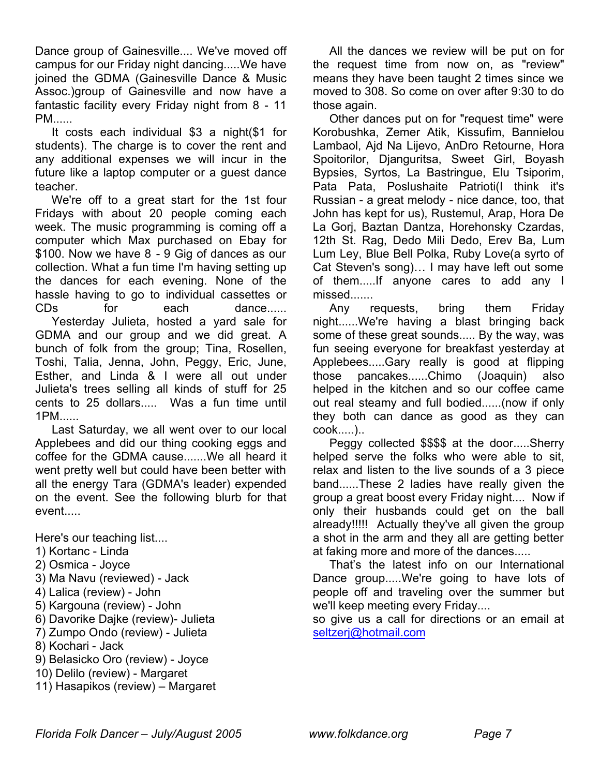Dance group of Gainesville.... We've moved off campus for our Friday night dancing.....We have joined the GDMA (Gainesville Dance & Music Assoc.)group of Gainesville and now have a fantastic facility every Friday night from 8 - 11 PM......

 It costs each individual \$3 a night(\$1 for students). The charge is to cover the rent and any additional expenses we will incur in the future like a laptop computer or a guest dance teacher.

 We're off to a great start for the 1st four Fridays with about 20 people coming each week. The music programming is coming off a computer which Max purchased on Ebay for \$100. Now we have 8 - 9 Gig of dances as our collection. What a fun time I'm having setting up the dances for each evening. None of the hassle having to go to individual cassettes or CDs for each dance...... Yesterday Julieta, hosted a yard sale for GDMA and our group and we did great. A bunch of folk from the group; Tina, Rosellen, Toshi, Talia, Jenna, John, Peggy, Eric, June, Esther, and Linda & I were all out under Julieta's trees selling all kinds of stuff for 25 cents to 25 dollars..... Was a fun time until 1PM......

 Last Saturday, we all went over to our local Applebees and did our thing cooking eggs and coffee for the GDMA cause.......We all heard it went pretty well but could have been better with all the energy Tara (GDMA's leader) expended on the event. See the following blurb for that event.....

Here's our teaching list....

- 1) Kortanc Linda
- 2) Osmica Joyce
- 3) Ma Navu (reviewed) Jack
- 4) Lalica (review) John
- 5) Kargouna (review) John
- 6) Davorike Dajke (review)- Julieta
- 7) Zumpo Ondo (review) Julieta
- 8) Kochari Jack
- 9) Belasicko Oro (review) Joyce
- 10) Delilo (review) Margaret
- 11) Hasapikos (review) Margaret

 All the dances we review will be put on for the request time from now on, as "review" means they have been taught 2 times since we moved to 308. So come on over after 9:30 to do those again.

 Other dances put on for "request time" were Korobushka, Zemer Atik, Kissufim, Bannielou Lambaol, Ajd Na Lijevo, AnDro Retourne, Hora Spoitorilor, Djanguritsa, Sweet Girl, Boyash Bypsies, Syrtos, La Bastringue, Elu Tsiporim, Pata Pata, Poslushaite Patrioti(I think it's Russian - a great melody - nice dance, too, that John has kept for us), Rustemul, Arap, Hora De La Gorj, Baztan Dantza, Horehonsky Czardas, 12th St. Rag, Dedo Mili Dedo, Erev Ba, Lum Lum Ley, Blue Bell Polka, Ruby Love(a syrto of Cat Steven's song)… I may have left out some of them.....If anyone cares to add any I missed.......

 Any requests, bring them Friday night......We're having a blast bringing back some of these great sounds..... By the way, was fun seeing everyone for breakfast yesterday at Applebees.....Gary really is good at flipping those pancakes......Chimo (Joaquin) also helped in the kitchen and so our coffee came out real steamy and full bodied......(now if only they both can dance as good as they can cook.....)..

 Peggy collected \$\$\$\$ at the door.....Sherry helped serve the folks who were able to sit, relax and listen to the live sounds of a 3 piece band......These 2 ladies have really given the group a great boost every Friday night.... Now if only their husbands could get on the ball already!!!!! Actually they've all given the group a shot in the arm and they all are getting better at faking more and more of the dances.....

 That's the latest info on our International Dance group.....We're going to have lots of people off and traveling over the summer but we'll keep meeting every Friday....

so give us a call for directions or an email at seltzerj@hotmail.com